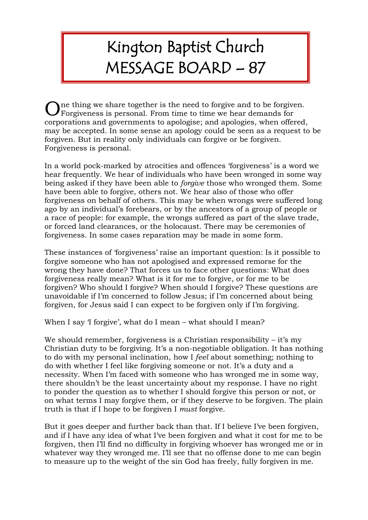## Kington Baptist Church MESSAGE BOARD – 87

ne thing we share together is the need to forgive and to be forgiven. One thing we share together is the need to forgive and to be forgive<br>Forgiveness is personal. From time to time we hear demands for corporations and governments to apologise; and apologies, when offered, may be accepted. In some sense an apology could be seen as a request to be forgiven. But in reality only individuals can forgive or be forgiven. Forgiveness is personal.

In a world pock-marked by atrocities and offences 'forgiveness' is a word we hear frequently. We hear of individuals who have been wronged in some way being asked if they have been able to *forgive* those who wronged them. Some have been able to forgive, others not. We hear also of those who offer forgiveness on behalf of others. This may be when wrongs were suffered long ago by an individual's forebears, or by the ancestors of a group of people or a race of people: for example, the wrongs suffered as part of the slave trade, or forced land clearances, or the holocaust. There may be ceremonies of forgiveness. In some cases reparation may be made in some form.

These instances of 'forgiveness' raise an important question: Is it possible to forgive someone who has not apologised and expressed remorse for the wrong they have done? That forces us to face other questions: What does forgiveness really mean? What is it for me to forgive, or for me to be forgiven? Who should I forgive? When should I forgive? These questions are unavoidable if I'm concerned to follow Jesus; if I'm concerned about being forgiven, for Jesus said I can expect to be forgiven only if I'm forgiving.

When I say 'I forgive', what do I mean – what should I mean?

We should remember, forgiveness is a Christian responsibility  $-$  it's my Christian duty to be forgiving. It's a non-negotiable obligation. It has nothing to do with my personal inclination, how I *feel* about something; nothing to do with whether I feel like forgiving someone or not. It's a duty and a necessity. When I'm faced with someone who has wronged me in some way, there shouldn't be the least uncertainty about my response. I have no right to ponder the question as to whether I should forgive this person or not, or on what terms I may forgive them, or if they deserve to be forgiven. The plain truth is that if I hope to be forgiven I *must* forgive.

But it goes deeper and further back than that. If I believe I've been forgiven, and if I have any idea of what I've been forgiven and what it cost for me to be forgiven, then I'll find no difficulty in forgiving whoever has wronged me or in whatever way they wronged me. I'll see that no offense done to me can begin to measure up to the weight of the sin God has freely, fully forgiven in me.